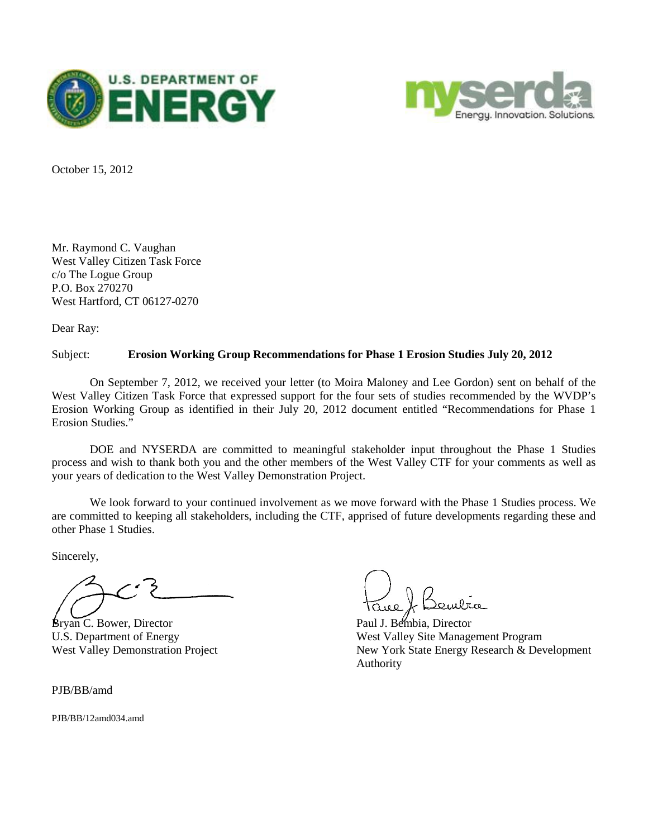



October 15, 2012

Mr. Raymond C. Vaughan West Valley Citizen Task Force c/o The Logue Group P.O. Box 270270 West Hartford, CT 06127-0270

Dear Ray:

## Subject: **Erosion Working Group Recommendations for Phase 1 Erosion Studies July 20, 2012**

On September 7, 2012, we received your letter (to Moira Maloney and Lee Gordon) sent on behalf of the West Valley Citizen Task Force that expressed support for the four sets of studies recommended by the WVDP's Erosion Working Group as identified in their July 20, 2012 document entitled "Recommendations for Phase 1 Erosion Studies."

DOE and NYSERDA are committed to meaningful stakeholder input throughout the Phase 1 Studies process and wish to thank both you and the other members of the West Valley CTF for your comments as well as your years of dedication to the West Valley Demonstration Project.

We look forward to your continued involvement as we move forward with the Phase 1 Studies process. We are committed to keeping all stakeholders, including the CTF, apprised of future developments regarding these and other Phase 1 Studies.

Sincerely,

Bryan C. Bower, Director Paul J. Bembia, Director

PJB/BB/amd

PJB/BB/12amd034.amd

U.S. Department of Energy Theory and West Valley Site Management Program West Valley Demonstration Project New York State Energy Research & Development Authority